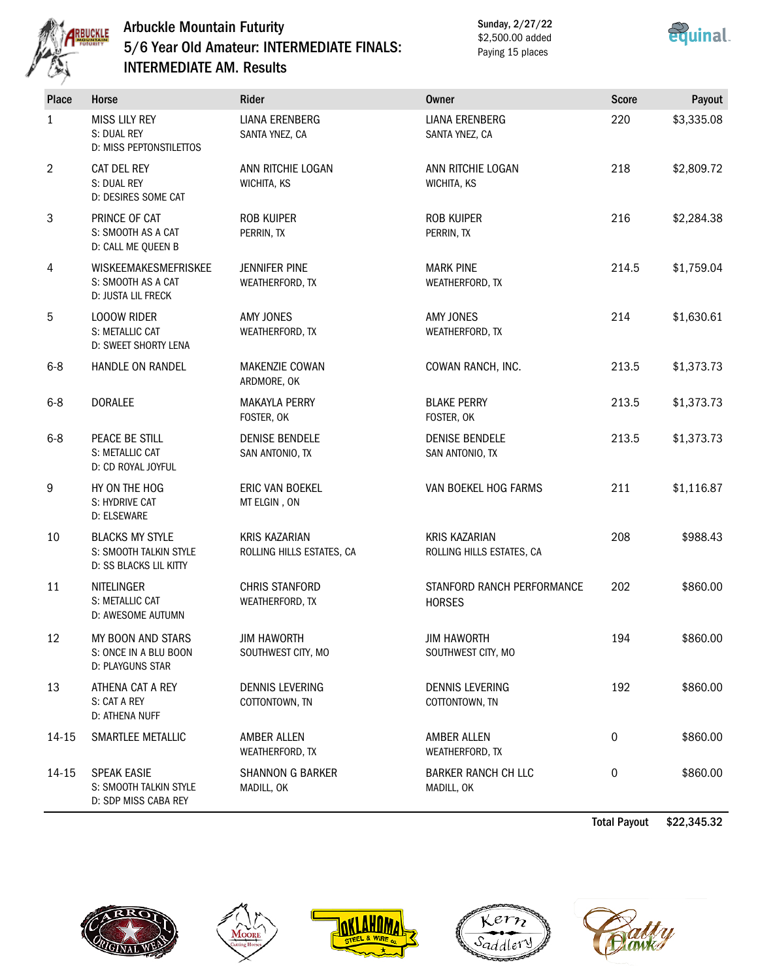

## Arbuckle Mountain Futurity 5/6 Year Old Amateur: INTERMEDIATE FINALS: INTERMEDIATE AM. Results

Sunday, 2/27/22 \$2,500.00 added Paying 15 places



| Place   | Horse                                                                      | Rider                                             | <b>Owner</b>                                      | <b>Score</b> | Payout     |
|---------|----------------------------------------------------------------------------|---------------------------------------------------|---------------------------------------------------|--------------|------------|
| 1       | <b>MISS LILY REY</b><br>S: DUAL REY<br>D: MISS PEPTONSTILETTOS             | <b>LIANA ERENBERG</b><br>SANTA YNEZ, CA           | <b>LIANA ERENBERG</b><br>SANTA YNEZ, CA           | 220          | \$3,335.08 |
| 2       | CAT DEL REY<br>S: DUAL REY<br>D: DESIRES SOME CAT                          | ANN RITCHIE LOGAN<br>WICHITA, KS                  | ANN RITCHIE LOGAN<br>WICHITA, KS                  | 218          | \$2,809.72 |
| 3       | PRINCE OF CAT<br>S: SMOOTH AS A CAT<br>D: CALL ME QUEEN B                  | <b>ROB KUIPER</b><br>PERRIN, TX                   | <b>ROB KUIPER</b><br>PERRIN, TX                   | 216          | \$2,284.38 |
| 4       | <b>WISKEEMAKESMEFRISKEE</b><br>S: SMOOTH AS A CAT<br>D: JUSTA LIL FRECK    | <b>JENNIFER PINE</b><br>WEATHERFORD, TX           | <b>MARK PINE</b><br>WEATHERFORD, TX               | 214.5        | \$1,759.04 |
| 5       | <b>LOOOW RIDER</b><br>S: METALLIC CAT<br><b>D: SWEET SHORTY LENA</b>       | <b>AMY JONES</b><br>WEATHERFORD, TX               | <b>AMY JONES</b><br>WEATHERFORD, TX               | 214          | \$1,630.61 |
| $6 - 8$ | HANDLE ON RANDEL                                                           | MAKENZIE COWAN<br>ARDMORE, OK                     | COWAN RANCH, INC.                                 | 213.5        | \$1,373.73 |
| $6 - 8$ | <b>DORALEE</b>                                                             | <b>MAKAYLA PERRY</b><br>FOSTER, OK                | <b>BLAKE PERRY</b><br>FOSTER, OK                  | 213.5        | \$1,373.73 |
| $6 - 8$ | PEACE BE STILL<br>S: METALLIC CAT<br>D: CD ROYAL JOYFUL                    | <b>DENISE BENDELE</b><br>SAN ANTONIO, TX          | <b>DENISE BENDELE</b><br>SAN ANTONIO, TX          | 213.5        | \$1,373.73 |
| 9       | HY ON THE HOG<br>S: HYDRIVE CAT<br>D: ELSEWARE                             | ERIC VAN BOEKEL<br>MT ELGIN, ON                   | VAN BOEKEL HOG FARMS                              | 211          | \$1,116.87 |
| 10      | <b>BLACKS MY STYLE</b><br>S: SMOOTH TALKIN STYLE<br>D: SS BLACKS LIL KITTY | <b>KRIS KAZARIAN</b><br>ROLLING HILLS ESTATES, CA | <b>KRIS KAZARIAN</b><br>ROLLING HILLS ESTATES, CA | 208          | \$988.43   |
| 11      | NITELINGER<br>S: METALLIC CAT<br>D: AWESOME AUTUMN                         | <b>CHRIS STANFORD</b><br>WEATHERFORD, TX          | STANFORD RANCH PERFORMANCE<br><b>HORSES</b>       | 202          | \$860.00   |
| 12      | MY BOON AND STARS<br>S: ONCE IN A BLU BOON<br>D: PLAYGUNS STAR             | <b>JIM HAWORTH</b><br>SOUTHWEST CITY, MO          | <b>JIM HAWORTH</b><br>SOUTHWEST CITY, MO          | 194          | \$860.00   |
| 13      | ATHENA CAT A REY<br>S: CAT A REY<br>D: ATHENA NUFF                         | DENNIS LEVERING<br>COTTONTOWN, TN                 | DENNIS LEVERING<br>COTTONTOWN, TN                 | 192          | \$860.00   |
| 14-15   | SMARTLEE METALLIC                                                          | AMBER ALLEN<br>WEATHERFORD, TX                    | AMBER ALLEN<br>WEATHERFORD, TX                    | 0            | \$860.00   |
| 14-15   | <b>SPEAK EASIE</b><br>S: SMOOTH TALKIN STYLE<br>D: SDP MISS CABA REY       | <b>SHANNON G BARKER</b><br>MADILL, OK             | <b>BARKER RANCH CH LLC</b><br>MADILL, OK          | 0            | \$860.00   |

Total Payout \$22,345.32









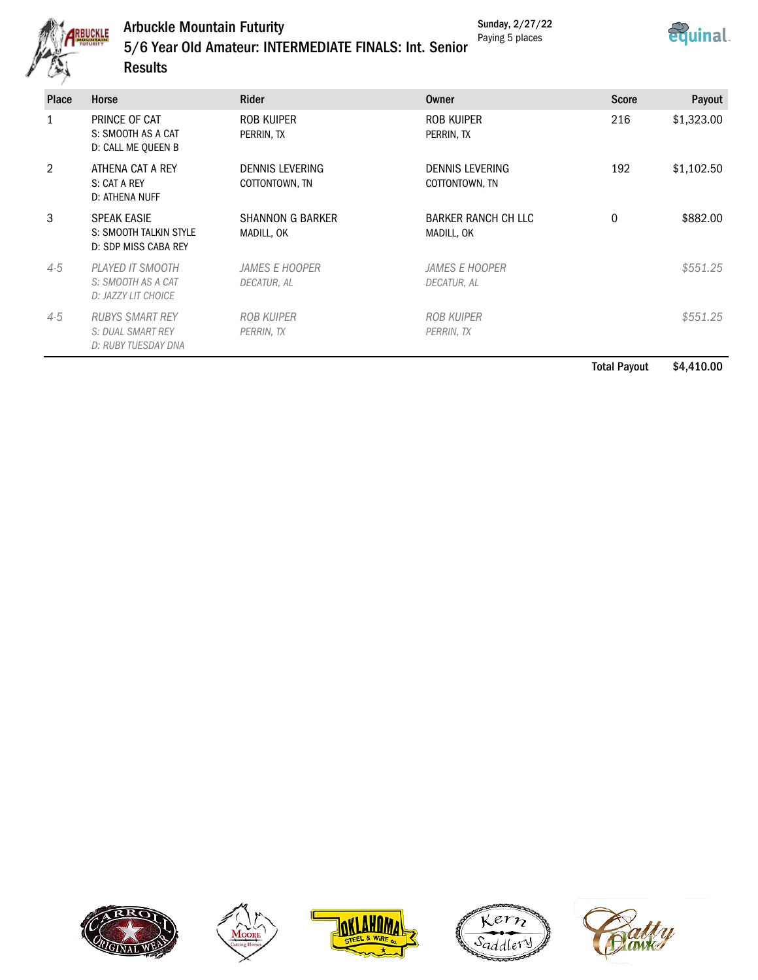

# Arbuckle Mountain Futurity 5/6 Year Old Amateur: INTERMEDIATE FINALS: Int. Senior

Sunday, 2/27/22 Paying 5 places



**Results** 

| <b>Place</b> | Horse                                                                | <b>Rider</b>                             | Owner                                | <b>Score</b> | Payout     |
|--------------|----------------------------------------------------------------------|------------------------------------------|--------------------------------------|--------------|------------|
|              | PRINCE OF CAT<br>S: SMOOTH AS A CAT<br>D: CALL ME QUEEN B            | ROB KUIPER<br>PERRIN, TX                 | ROB KUIPER<br>PERRIN, TX             | 216          | \$1,323.00 |
| 2            | ATHENA CAT A REY<br>S: CAT A REY<br>D: ATHENA NUFF                   | <b>DENNIS LEVERING</b><br>COTTONTOWN, TN | DENNIS LEVERING<br>COTTONTOWN, TN    | 192          | \$1,102.50 |
| 3            | <b>SPEAK EASIE</b><br>S: SMOOTH TALKIN STYLE<br>D: SDP MISS CABA REY | <b>SHANNON G BARKER</b><br>MADILL, OK    | BARKER RANCH CH LLC<br>MADILL, OK    | 0            | \$882.00   |
| $4-5$        | PLAYED IT SMOOTH<br>S: SMOOTH AS A CAT<br>D: JAZZY LIT CHOICE        | <i>JAMES E HOOPER</i><br>DECATUR, AL     | <b>JAMES E HOOPER</b><br>DECATUR, AL |              | \$551.25   |
| $4 - 5$      | <b>RUBYS SMART REY</b><br>S: DUAL SMART REY<br>D: RUBY TUESDAY DNA   | <b>ROB KUIPER</b><br>PERRIN, TX          | <b>ROB KUIPER</b><br>PERRIN, TX      |              | \$551.25   |

Total Payout \$4,410.00









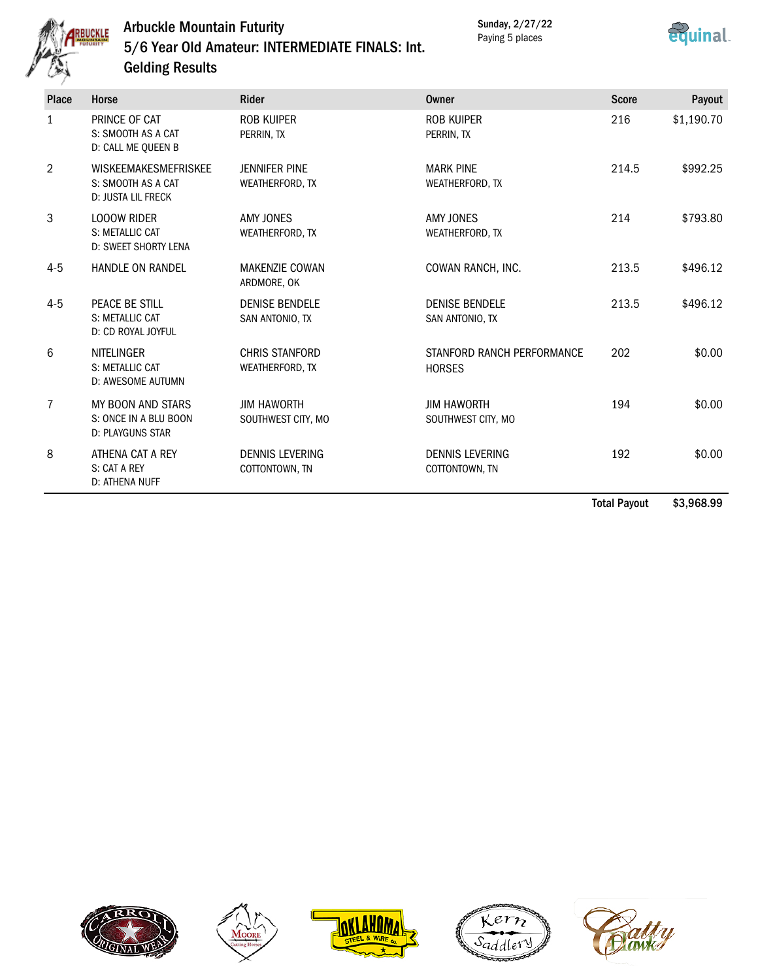

## Arbuckle Mountain Futurity 5/6 Year Old Amateur: INTERMEDIATE FINALS: Int. Gelding Results

Sunday, 2/27/22 Paying 5 places



| Place | Horse                                                                          | <b>Rider</b>                             | Owner                                       | <b>Score</b> | Payout     |
|-------|--------------------------------------------------------------------------------|------------------------------------------|---------------------------------------------|--------------|------------|
| 1     | PRINCE OF CAT<br>S: SMOOTH AS A CAT<br>D: CALL ME QUEEN B                      | <b>ROB KUIPER</b><br>PERRIN, TX          | ROB KUIPER<br>PERRIN, TX                    | 216          | \$1,190.70 |
| 2     | <b>WISKEEMAKESMEFRISKEE</b><br>S: SMOOTH AS A CAT<br><b>D: JUSTA LIL FRECK</b> | <b>JENNIFER PINE</b><br>WEATHERFORD, TX  | <b>MARK PINE</b><br>WEATHERFORD, TX         | 214.5        | \$992.25   |
| 3     | <b>LOOOW RIDER</b><br>S: METALLIC CAT<br>D: SWEET SHORTY LENA                  | AMY JONES<br>WEATHERFORD, TX             | AMY JONES<br>WEATHERFORD, TX                | 214          | \$793.80   |
| $4-5$ | <b>HANDLE ON RANDEL</b>                                                        | <b>MAKENZIE COWAN</b><br>ARDMORE, OK     | COWAN RANCH, INC.                           | 213.5        | \$496.12   |
| $4-5$ | PEACE BE STILL<br>S: METALLIC CAT<br>D: CD ROYAL JOYFUL                        | <b>DENISE BENDELE</b><br>SAN ANTONIO, TX | <b>DENISE BENDELE</b><br>SAN ANTONIO, TX    | 213.5        | \$496.12   |
| 6     | <b>NITELINGER</b><br>S: METALLIC CAT<br>D: AWESOME AUTUMN                      | <b>CHRIS STANFORD</b><br>WEATHERFORD, TX | STANFORD RANCH PERFORMANCE<br><b>HORSES</b> | 202          | \$0.00     |
| 7     | MY BOON AND STARS<br>S: ONCE IN A BLU BOON<br><b>D: PLAYGUNS STAR</b>          | <b>JIM HAWORTH</b><br>SOUTHWEST CITY, MO | <b>JIM HAWORTH</b><br>SOUTHWEST CITY, MO    | 194          | \$0.00     |
| 8     | ATHENA CAT A REY<br>S: CAT A REY<br>D: ATHENA NUFF                             | <b>DENNIS LEVERING</b><br>COTTONTOWN, TN | <b>DENNIS LEVERING</b><br>COTTONTOWN, TN    | 192          | \$0.00     |

Total Payout \$3,968.99